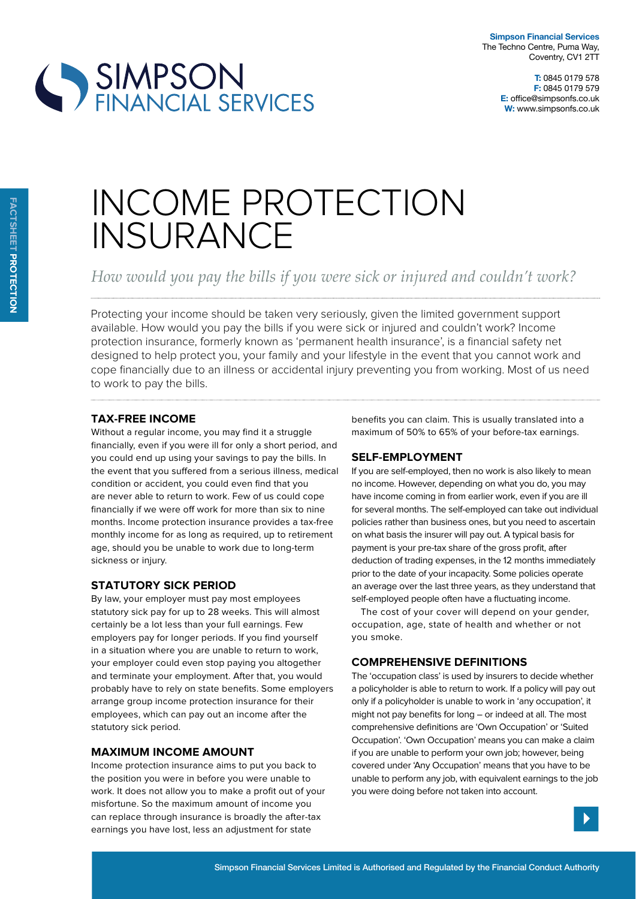

# SIMPSON<br>FINANCIAL SERVICES

# INCOME PROTECTION INSURANCE

*How would you pay the bills if you were sick or injured and couldn't work?*

Protecting your income should be taken very seriously, given the limited government support available. How would you pay the bills if you were sick or injured and couldn't work? Income protection insurance, formerly known as 'permanent health insurance', is a financial safety net designed to help protect you, your family and your lifestyle in the event that you cannot work and cope financially due to an illness or accidental injury preventing you from working. Most of us need to work to pay the bills.

## **tax-Free income**

Without a regular income, you may find it a struggle financially, even if you were ill for only a short period, and you could end up using your savings to pay the bills. In the event that you suffered from a serious illness, medical condition or accident, you could even find that you are never able to return to work. Few of us could cope financially if we were off work for more than six to nine months. Income protection insurance provides a tax-free monthly income for as long as required, up to retirement age, should you be unable to work due to long-term sickness or injury.

### **statutory sick period**

By law, your employer must pay most employees statutory sick pay for up to 28 weeks. This will almost certainly be a lot less than your full earnings. Few employers pay for longer periods. If you find yourself in a situation where you are unable to return to work, your employer could even stop paying you altogether and terminate your employment. After that, you would probably have to rely on state benefits. Some employers arrange group income protection insurance for their employees, which can pay out an income after the statutory sick period.

### **maximum income amount**

Income protection insurance aims to put you back to the position you were in before you were unable to work. It does not allow you to make a profit out of your misfortune. So the maximum amount of income you can replace through insurance is broadly the after-tax earnings you have lost, less an adjustment for state

benefits you can claim. This is usually translated into a maximum of 50% to 65% of your before-tax earnings.

# **selF-employment**

If you are self-employed, then no work is also likely to mean no income. However, depending on what you do, you may have income coming in from earlier work, even if you are ill for several months. The self-employed can take out individual policies rather than business ones, but you need to ascertain on what basis the insurer will pay out. A typical basis for payment is your pre-tax share of the gross profit, after deduction of trading expenses, in the 12 months immediately prior to the date of your incapacity. Some policies operate an average over the last three years, as they understand that self-employed people often have a fluctuating income.

The cost of your cover will depend on your gender, occupation, age, state of health and whether or not you smoke.

### **compreHensive deFinitions**

The 'occupation class' is used by insurers to decide whether a policyholder is able to return to work. If a policy will pay out only if a policyholder is unable to work in 'any occupation', it might not pay benefits for long – or indeed at all. The most comprehensive definitions are 'Own Occupation' or 'Suited Occupation'. 'Own Occupation' means you can make a claim if you are unable to perform your own job; however, being covered under 'Any Occupation' means that you have to be unable to perform any job, with equivalent earnings to the job you were doing before not taken into account.